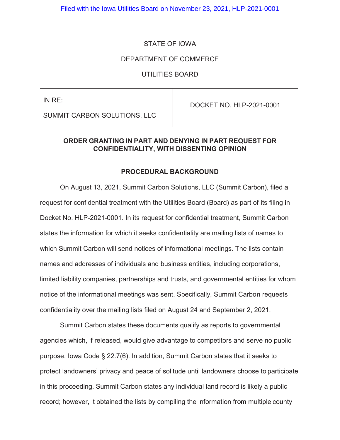### STATE OF IOWA

#### DEPARTMENT OF COMMERCE

### UTILITIES BOARD

IN RE:

DOCKET NO. HLP-2021-0001

SUMMIT CARBON SOLUTIONS, LLC

## **ORDER GRANTING IN PART AND DENYING IN PART REQUEST FOR CONFIDENTIALITY, WITH DISSENTING OPINION**

#### **PROCEDURAL BACKGROUND**

On August 13, 2021, Summit Carbon Solutions, LLC (Summit Carbon), filed a request for confidential treatment with the Utilities Board (Board) as part of its filing in Docket No. HLP-2021-0001. In its request for confidential treatment, Summit Carbon states the information for which it seeks confidentiality are mailing lists of names to which Summit Carbon will send notices of informational meetings. The lists contain names and addresses of individuals and business entities, including corporations, limited liability companies, partnerships and trusts, and governmental entities for whom notice of the informational meetings was sent. Specifically, Summit Carbon requests confidentiality over the mailing lists filed on August 24 and September 2, 2021.

Summit Carbon states these documents qualify as reports to governmental agencies which, if released, would give advantage to competitors and serve no public purpose. Iowa Code § 22.7(6). In addition, Summit Carbon states that it seeks to protect landowners' privacy and peace of solitude until landowners choose to participate in this proceeding. Summit Carbon states any individual land record is likely a public record; however, it obtained the lists by compiling the information from multiple county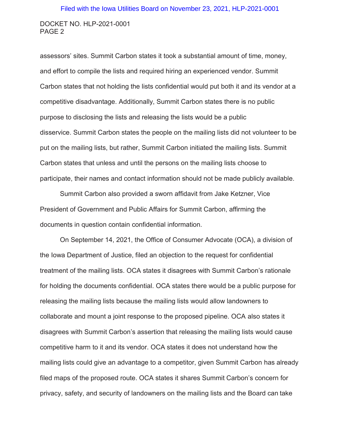#### Filed with the Iowa Utilities Board on November 23, 2021, HLP-2021-0001

#### DOCKET NO. HLP-2021-0001 PAGE 2

assessors' sites. Summit Carbon states it took a substantial amount of time, money, and effort to compile the lists and required hiring an experienced vendor. Summit Carbon states that not holding the lists confidential would put both it and its vendor at a competitive disadvantage. Additionally, Summit Carbon states there is no public purpose to disclosing the lists and releasing the lists would be a public disservice. Summit Carbon states the people on the mailing lists did not volunteer to be put on the mailing lists, but rather, Summit Carbon initiated the mailing lists. Summit Carbon states that unless and until the persons on the mailing lists choose to participate, their names and contact information should not be made publicly available.

Summit Carbon also provided a sworn affidavit from Jake Ketzner, Vice President of Government and Public Affairs for Summit Carbon, affirming the documents in question contain confidential information.

On September 14, 2021, the Office of Consumer Advocate (OCA), a division of the Iowa Department of Justice, filed an objection to the request for confidential treatment of the mailing lists. OCA states it disagrees with Summit Carbon's rationale for holding the documents confidential. OCA states there would be a public purpose for releasing the mailing lists because the mailing lists would allow landowners to collaborate and mount a joint response to the proposed pipeline. OCA also states it disagrees with Summit Carbon's assertion that releasing the mailing lists would cause competitive harm to it and its vendor. OCA states it does not understand how the mailing lists could give an advantage to a competitor, given Summit Carbon has already filed maps of the proposed route. OCA states it shares Summit Carbon's concern for privacy, safety, and security of landowners on the mailing lists and the Board can take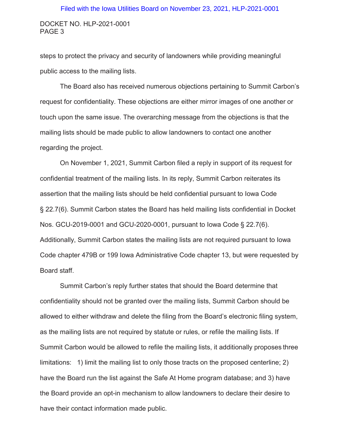#### Filed with the Iowa Utilities Board on November 23, 2021, HLP-2021-0001

#### DOCKET NO. HLP-2021-0001 PAGE 3

steps to protect the privacy and security of landowners while providing meaningful public access to the mailing lists.

The Board also has received numerous objections pertaining to Summit Carbon's request for confidentiality. These objections are either mirror images of one another or touch upon the same issue. The overarching message from the objections is that the mailing lists should be made public to allow landowners to contact one another regarding the project.

On November 1, 2021, Summit Carbon filed a reply in support of its request for confidential treatment of the mailing lists. In its reply, Summit Carbon reiterates its assertion that the mailing lists should be held confidential pursuant to Iowa Code § 22.7(6). Summit Carbon states the Board has held mailing lists confidential in Docket Nos. GCU-2019-0001 and GCU-2020-0001, pursuant to Iowa Code § 22.7(6). Additionally, Summit Carbon states the mailing lists are not required pursuant to Iowa Code chapter 479B or 199 Iowa Administrative Code chapter 13, but were requested by Board staff.

Summit Carbon's reply further states that should the Board determine that confidentiality should not be granted over the mailing lists, Summit Carbon should be allowed to either withdraw and delete the filing from the Board's electronic filing system, as the mailing lists are not required by statute or rules, or refile the mailing lists. If Summit Carbon would be allowed to refile the mailing lists, it additionally proposes three limitations: 1) limit the mailing list to only those tracts on the proposed centerline; 2) have the Board run the list against the Safe At Home program database; and 3) have the Board provide an opt-in mechanism to allow landowners to declare their desire to have their contact information made public.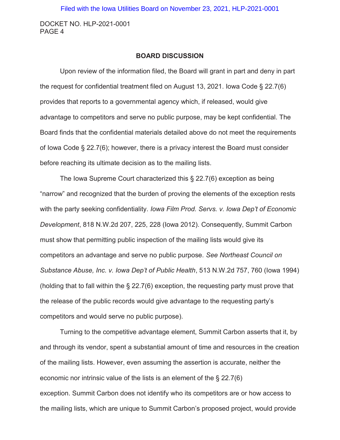## **BOARD DISCUSSION**

Upon review of the information filed, the Board will grant in part and deny in part the request for confidential treatment filed on August 13, 2021. Iowa Code § 22.7(6) provides that reports to a governmental agency which, if released, would give advantage to competitors and serve no public purpose, may be kept confidential. The Board finds that the confidential materials detailed above do not meet the requirements of Iowa Code § 22.7(6); however, there is a privacy interest the Board must consider before reaching its ultimate decision as to the mailing lists.

The Iowa Supreme Court characterized this § 22.7(6) exception as being "narrow" and recognized that the burden of proving the elements of the exception rests with the party seeking confidentiality. *Iowa Film Prod. Servs. v. Iowa Dep't of Economic Development*, 818 N.W.2d 207, 225, 228 (Iowa 2012). Consequently, Summit Carbon must show that permitting public inspection of the mailing lists would give its competitors an advantage and serve no public purpose. *See Northeast Council on Substance Abuse, Inc. v. Iowa Dep't of Public Health*, 513 N.W.2d 757, 760 (Iowa 1994) (holding that to fall within the § 22.7(6) exception, the requesting party must prove that the release of the public records would give advantage to the requesting party's competitors and would serve no public purpose).

Turning to the competitive advantage element, Summit Carbon asserts that it, by and through its vendor, spent a substantial amount of time and resources in the creation of the mailing lists. However, even assuming the assertion is accurate, neither the economic nor intrinsic value of the lists is an element of the § 22.7(6) exception. Summit Carbon does not identify who its competitors are or how access to the mailing lists, which are unique to Summit Carbon's proposed project, would provide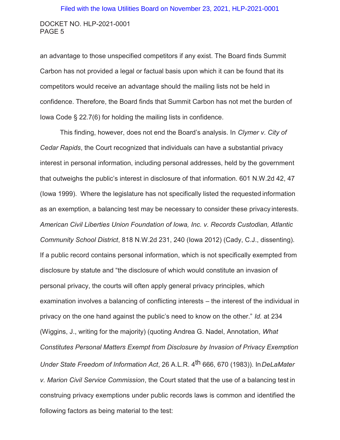an advantage to those unspecified competitors if any exist. The Board finds Summit Carbon has not provided a legal or factual basis upon which it can be found that its competitors would receive an advantage should the mailing lists not be held in confidence. Therefore, the Board finds that Summit Carbon has not met the burden of Iowa Code § 22.7(6) for holding the mailing lists in confidence.

This finding, however, does not end the Board's analysis. In *Clymer v. City of Cedar Rapids*, the Court recognized that individuals can have a substantial privacy interest in personal information, including personal addresses, held by the government that outweighs the public's interest in disclosure of that information. 601 N.W.2d 42, 47 (Iowa 1999). Where the legislature has not specifically listed the requested information as an exemption, a balancing test may be necessary to consider these privacy interests. *American Civil Liberties Union Foundation of Iowa, Inc. v. Records Custodian, Atlantic Community School District*, 818 N.W.2d 231, 240 (Iowa 2012) (Cady, C.J., dissenting). If a public record contains personal information, which is not specifically exempted from disclosure by statute and "the disclosure of which would constitute an invasion of personal privacy, the courts will often apply general privacy principles, which examination involves a balancing of conflicting interests – the interest of the individual in privacy on the one hand against the public's need to know on the other." *Id.* at 234 (Wiggins, J., writing for the majority) (quoting Andrea G. Nadel, Annotation*, What Constitutes Personal Matters Exempt from Disclosure by Invasion of Privacy Exemption Under State Freedom of Information Act*, 26 A.L.R. 4th 666, 670 (1983)). In *DeLaMater v. Marion Civil Service Commission*, the Court stated that the use of a balancing test in construing privacy exemptions under public records laws is common and identified the following factors as being material to the test: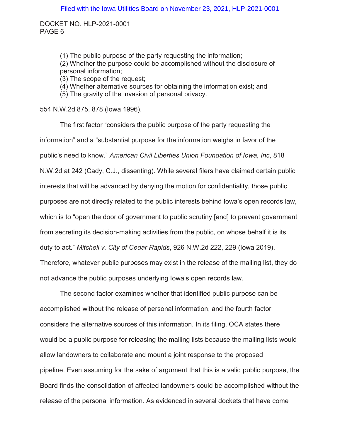> (1) The public purpose of the party requesting the information; (2) Whether the purpose could be accomplished without the disclosure of personal information; (3) The scope of the request;

(4) Whether alternative sources for obtaining the information exist; and

(5) The gravity of the invasion of personal privacy.

554 N.W.2d 875, 878 (Iowa 1996).

The first factor "considers the public purpose of the party requesting the information" and a "substantial purpose for the information weighs in favor of the public's need to know." *American Civil Liberties Union Foundation of Iowa, Inc*, 818 N.W.2d at 242 (Cady, C.J., dissenting). While several filers have claimed certain public interests that will be advanced by denying the motion for confidentiality, those public purposes are not directly related to the public interests behind Iowa's open records law, which is to "open the door of government to public scrutiny [and] to prevent government from secreting its decision-making activities from the public, on whose behalf it is its duty to act." *Mitchell v. City of Cedar Rapids*, 926 N.W.2d 222, 229 (Iowa 2019). Therefore, whatever public purposes may exist in the release of the mailing list, they do not advance the public purposes underlying Iowa's open records law.

The second factor examines whether that identified public purpose can be accomplished without the release of personal information, and the fourth factor considers the alternative sources of this information. In its filing, OCA states there would be a public purpose for releasing the mailing lists because the mailing lists would allow landowners to collaborate and mount a joint response to the proposed pipeline. Even assuming for the sake of argument that this is a valid public purpose, the Board finds the consolidation of affected landowners could be accomplished without the release of the personal information. As evidenced in several dockets that have come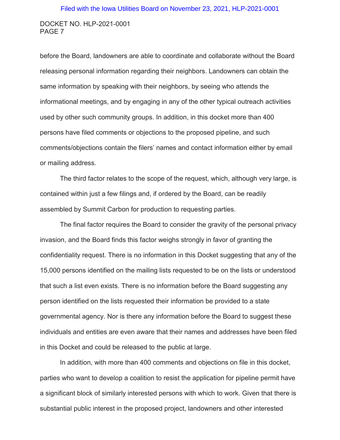#### Filed with the Iowa Utilities Board on November 23, 2021, HLP-2021-0001

#### DOCKET NO. HLP-2021-0001 PAGE 7

before the Board, landowners are able to coordinate and collaborate without the Board releasing personal information regarding their neighbors. Landowners can obtain the same information by speaking with their neighbors, by seeing who attends the informational meetings, and by engaging in any of the other typical outreach activities used by other such community groups. In addition, in this docket more than 400 persons have filed comments or objections to the proposed pipeline, and such comments/objections contain the filers' names and contact information either by email or mailing address.

The third factor relates to the scope of the request, which, although very large, is contained within just a few filings and, if ordered by the Board, can be readily assembled by Summit Carbon for production to requesting parties.

The final factor requires the Board to consider the gravity of the personal privacy invasion, and the Board finds this factor weighs strongly in favor of granting the confidentiality request. There is no information in this Docket suggesting that any of the 15,000 persons identified on the mailing lists requested to be on the lists or understood that such a list even exists. There is no information before the Board suggesting any person identified on the lists requested their information be provided to a state governmental agency. Nor is there any information before the Board to suggest these individuals and entities are even aware that their names and addresses have been filed in this Docket and could be released to the public at large.

In addition, with more than 400 comments and objections on file in this docket, parties who want to develop a coalition to resist the application for pipeline permit have a significant block of similarly interested persons with which to work. Given that there is substantial public interest in the proposed project, landowners and other interested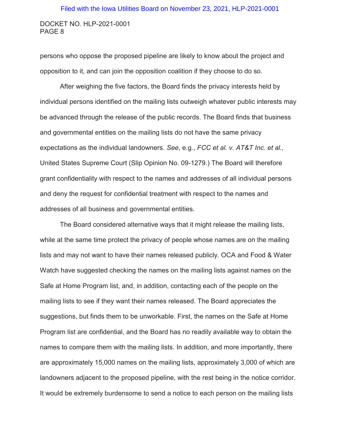# DOCKET NO. HLP-2021-0001 Filed with the Iowa Utilities Board on November 23, 2021, HLP-2021-0001

persons who oppose the proposed pipeline are likely to know about the project and opposition to it, and can join the opposition coalition if they choose to do so.

PAGE 8

After weighing the five factors, the Board finds the privacy interests held by individual persons identified on the mailing lists outweigh whatever public interests may be advanced through the release of the public records. The Board finds that business and governmental entities on the mailing lists do not have the same privacy expectations as the individual landowners. *See*, e.g., *FCC et al. v. AT&T Inc. et al.,*  United States Supreme Court (Slip Opinion No. 09-1279.) The Board will therefore grant confidentiality with respect to the names and addresses of all individual persons and deny the request for confidential treatment with respect to the names and addresses of all business and governmental entities.

The Board considered alternative ways that it might release the mailing lists, while at the same time protect the privacy of people whose names are on the mailing lists and may not want to have their names released publicly. OCA and Food & Water Watch have suggested checking the names on the mailing lists against names on the Safe at Home Program list, and, in addition, contacting each of the people on the mailing lists to see if they want their names released. The Board appreciates the suggestions, but finds them to be unworkable. First, the names on the Safe at Home Program list are confidential, and the Board has no readily available way to obtain the names to compare them with the mailing lists. In addition, and more importantly, there are approximately 15,000 names on the mailing lists, approximately 3,000 of which are landowners adjacent to the proposed pipeline, with the rest being in the notice corridor. It would be extremely burdensome to send a notice to each person on the mailing lists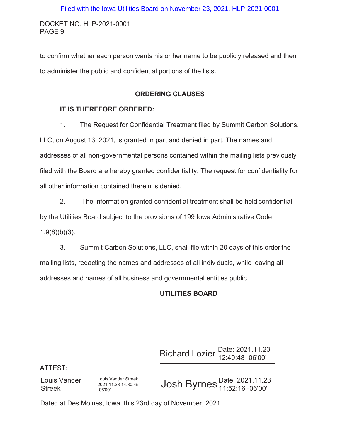to confirm whether each person wants his or her name to be publicly released and then to administer the public and confidential portions of the lists.

## **ORDERING CLAUSES**

### **IT IS THEREFORE ORDERED:**

1. The Request for Confidential Treatment filed by Summit Carbon Solutions, LLC, on August 13, 2021, is granted in part and denied in part. The names and addresses of all non-governmental persons contained within the mailing lists previously filed with the Board are hereby granted confidentiality. The request for confidentiality for all other information contained therein is denied.

2. The information granted confidential treatment shall be held confidential by the Utilities Board subject to the provisions of 199 Iowa Administrative Code  $1.9(8)(b)(3)$ .

3. Summit Carbon Solutions, LLC, shall file within 20 days of this order the mailing lists, redacting the names and addresses of all individuals, while leaving all addresses and names of all business and governmental entities public.

# **UTILITIES BOARD**

Richard Lozier Date: 2021.11.23 12:40:48 -06'00'

ATTEST:

Louis Vander Streek Louis Vander Streek 2021.11.23 14:30:45 -06'00'

Josh Byrnes Date: 2021.11.23 11:52:16 -06'00'

Dated at Des Moines, Iowa, this 23rd day of November, 2021.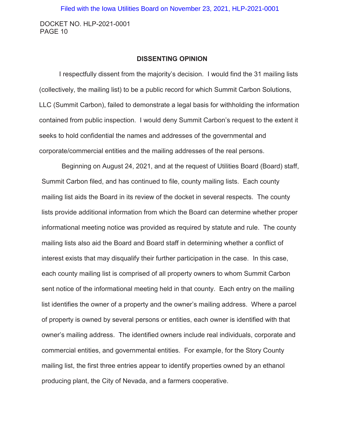#### **DISSENTING OPINION**

I respectfully dissent from the majority's decision. I would find the 31 mailing lists (collectively, the mailing list) to be a public record for which Summit Carbon Solutions, LLC (Summit Carbon), failed to demonstrate a legal basis for withholding the information contained from public inspection. I would deny Summit Carbon's request to the extent it seeks to hold confidential the names and addresses of the governmental and corporate/commercial entities and the mailing addresses of the real persons.

Beginning on August 24, 2021, and at the request of Utilities Board (Board) staff, Summit Carbon filed, and has continued to file, county mailing lists. Each county mailing list aids the Board in its review of the docket in several respects. The county lists provide additional information from which the Board can determine whether proper informational meeting notice was provided as required by statute and rule. The county mailing lists also aid the Board and Board staff in determining whether a conflict of interest exists that may disqualify their further participation in the case. In this case, each county mailing list is comprised of all property owners to whom Summit Carbon sent notice of the informational meeting held in that county. Each entry on the mailing list identifies the owner of a property and the owner's mailing address. Where a parcel of property is owned by several persons or entities, each owner is identified with that owner's mailing address. The identified owners include real individuals, corporate and commercial entities, and governmental entities. For example, for the Story County mailing list, the first three entries appear to identify properties owned by an ethanol producing plant, the City of Nevada, and a farmers cooperative.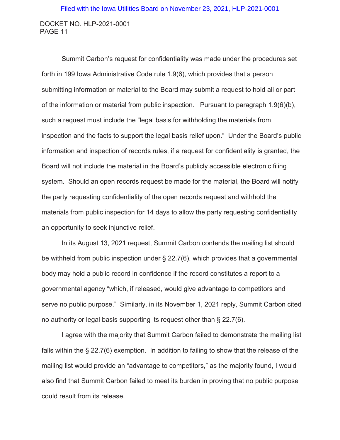Summit Carbon's request for confidentiality was made under the procedures set forth in 199 Iowa Administrative Code rule 1.9(6), which provides that a person submitting information or material to the Board may submit a request to hold all or part of the information or material from public inspection. Pursuant to paragraph 1.9(6)(b), such a request must include the "legal basis for withholding the materials from inspection and the facts to support the legal basis relief upon." Under the Board's public information and inspection of records rules, if a request for confidentiality is granted, the Board will not include the material in the Board's publicly accessible electronic filing system. Should an open records request be made for the material, the Board will notify the party requesting confidentiality of the open records request and withhold the materials from public inspection for 14 days to allow the party requesting confidentiality an opportunity to seek injunctive relief.

In its August 13, 2021 request, Summit Carbon contends the mailing list should be withheld from public inspection under § 22.7(6), which provides that a governmental body may hold a public record in confidence if the record constitutes a report to a governmental agency "which, if released, would give advantage to competitors and serve no public purpose." Similarly, in its November 1, 2021 reply, Summit Carbon cited no authority or legal basis supporting its request other than § 22.7(6).

I agree with the majority that Summit Carbon failed to demonstrate the mailing list falls within the § 22.7(6) exemption. In addition to failing to show that the release of the mailing list would provide an "advantage to competitors," as the majority found, I would also find that Summit Carbon failed to meet its burden in proving that no public purpose could result from its release.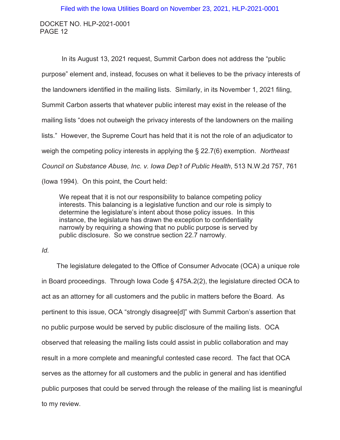In its August 13, 2021 request, Summit Carbon does not address the "public purpose" element and, instead, focuses on what it believes to be the privacy interests of the landowners identified in the mailing lists. Similarly, in its November 1, 2021 filing, Summit Carbon asserts that whatever public interest may exist in the release of the mailing lists "does not outweigh the privacy interests of the landowners on the mailing lists." However, the Supreme Court has held that it is not the role of an adjudicator to weigh the competing policy interests in applying the § 22.7(6) exemption. *Northeast Council on Substance Abuse, Inc. v. Iowa Dep't of Public Health*, 513 N.W.2d 757, 761 (Iowa 1994). On this point, the Court held:

We repeat that it is not our responsibility to balance competing policy interests. This balancing is a legislative function and our role is simply to determine the legislature's intent about those policy issues. In this instance, the legislature has drawn the exception to confidentiality narrowly by requiring a showing that no public purpose is served by public disclosure. So we construe section 22.7 narrowly.

#### *Id.*

The legislature delegated to the Office of Consumer Advocate (OCA) a unique role in Board proceedings. Through Iowa Code § 475A.2(2), the legislature directed OCA to act as an attorney for all customers and the public in matters before the Board. As pertinent to this issue, OCA "strongly disagree[d]" with Summit Carbon's assertion that no public purpose would be served by public disclosure of the mailing lists. OCA observed that releasing the mailing lists could assist in public collaboration and may result in a more complete and meaningful contested case record. The fact that OCA serves as the attorney for all customers and the public in general and has identified public purposes that could be served through the release of the mailing list is meaningful to my review.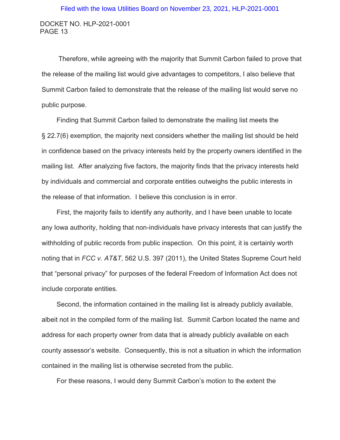Therefore, while agreeing with the majority that Summit Carbon failed to prove that the release of the mailing list would give advantages to competitors, I also believe that Summit Carbon failed to demonstrate that the release of the mailing list would serve no public purpose.

Finding that Summit Carbon failed to demonstrate the mailing list meets the § 22.7(6) exemption, the majority next considers whether the mailing list should be held in confidence based on the privacy interests held by the property owners identified in the mailing list. After analyzing five factors, the majority finds that the privacy interests held by individuals and commercial and corporate entities outweighs the public interests in the release of that information. I believe this conclusion is in error.

First, the majority fails to identify any authority, and I have been unable to locate any Iowa authority, holding that non-individuals have privacy interests that can justify the withholding of public records from public inspection. On this point, it is certainly worth noting that in *FCC v. AT&T*, 562 U.S. 397 (2011), the United States Supreme Court held that "personal privacy" for purposes of the federal Freedom of Information Act does not include corporate entities.

Second, the information contained in the mailing list is already publicly available, albeit not in the compiled form of the mailing list. Summit Carbon located the name and address for each property owner from data that is already publicly available on each county assessor's website. Consequently, this is not a situation in which the information contained in the mailing list is otherwise secreted from the public.

For these reasons, I would deny Summit Carbon's motion to the extent the